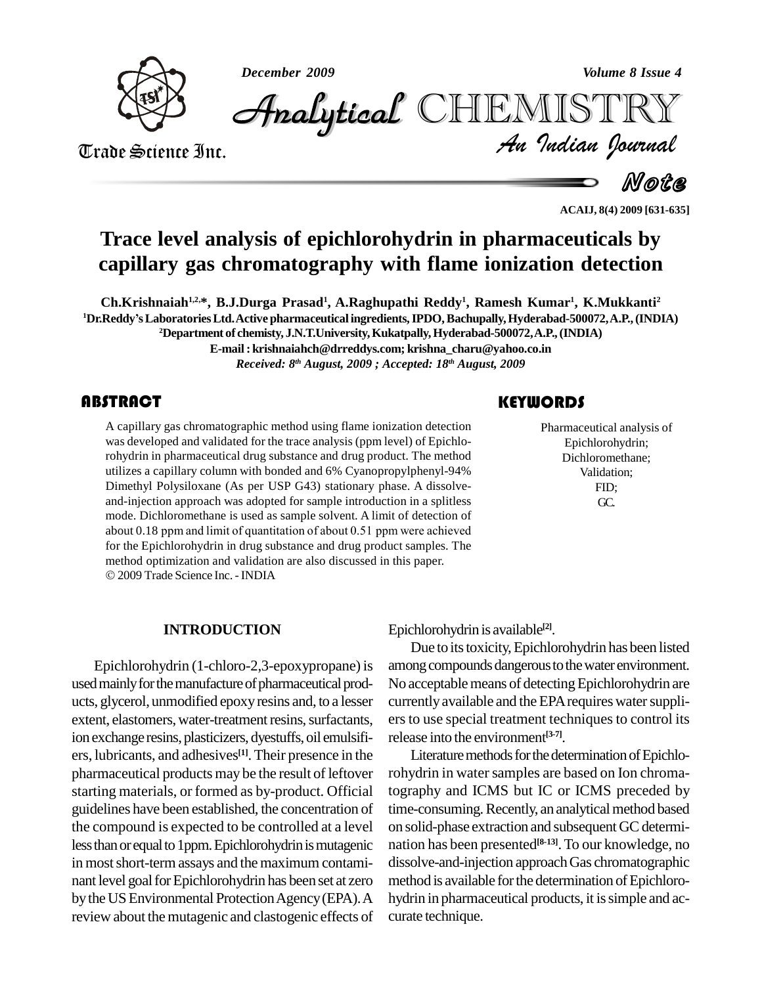*December 2009 Volume 8 Issue 4*



*Volume 8 Issue 4*<br>IISTRY<br>Indian Iournal CHEMISTRY

Trade Science Inc. Trade Science Inc.

Note

**ACAIJ, 8(4) 2009 [631-635]**

# **Trace level analysis of epichlorohydrin in pharmaceuticals by capillary gas chromatography with flame ionization detection**

**Ch.Krishnaiah 1,2,\*, B.J.Durga Prasad 1 , A.Raghupathi Reddy 1 , Ramesh Kumar 1 , K.Mukkanti<sup>2</sup> <sup>1</sup>Dr.ReddyísLaboratoriesLtd.Active pharmaceutical ingredients,IPDO,Bachupally,Hyderabad-500072,A.P.,(INDIA) <sup>2</sup>Department of chemisty, J.N.T.University,Kukatpally,Hyderabad-500072,A.P.,(INDIA)**

**E-mail: [krishnaiahch@drreddys.com;](mailto:krishnaiahch@drreddys.com;) [krishna\\_charu@yahoo.co.in](mailto:krishna_charu@yahoo.co.in)** *Received: 8 th August, 2009 ; Accepted: 18 th August, 2009*

A capillary gas chromate<br>was developed and valid<br>rohydrin in pharmaceutie A capillary gas chromatographic method using flame ionization detection was developed and validated for the trace analysis (ppm level) of Epichlorohydrin in pharmaceutical drug substance and drug product. The method utilizes a capillary column with bonded and 6% Cyanopropylphenyl-94% Dimethyl Polysiloxane (As per USP G43) stationary phase. A dissolve and-injection approach was adopted for sample introduction in a splitless mode. Dichloromethane is used as sample solvent. A limit of detection of about 0.18 ppm and limit of quantitation of about 0.51 ppm were achieved for the Epichlorohydrin in drug substance and drug product samples. The method optimization and validation are also discussed in this paper. 2009 Trade Science Inc. -INDIA

#### **KEYWORDS**

Pharmaceutical ana<br>Epichlorohydri<br>Dichlorometha Pharmaceutical analysis of Epichlorohydrin; Dichloromethane; Validation; FID; GC.

#### **INTRODUCTION**

Epichlorohydrin (1-chloro-2,3-epoxypropane) is used mainly for the manufacture of pharmaceutical products, glycerol, unmodified epoxyresins and, to a lesser extent, elastomers, water-treatment resins, surfactants, ion exchange resins, plasticizers, dyestuffs, oil emulsifiers, lubricants, and adhesives **[1]**. Their presence in the pharmaceutical products may be the result of leftover starting materials, or formed as by-product. Official guidelines have been established, the concentration of the compound is expected to be controlled at a level less than or equal to 1ppm. Epichlorohydrin is mutagenic in most short-term assays and the maximum contaminant level goal for Epichlorohydrin has been set at zero by the US Environmental Protection Agency (EPA). A review about the mutagenic and clastogenic effects of

Epichlorohydrin is available<sup>[2]</sup>.

Due to its toxicity, Epichlorohydrin has been listed among compounds dangerous to the water environment. No acceptable means of detecting Epichlorohydrin are currently available and the EPA requires water suppliers to use special treatment techniques to control its release into the environment **[3-7]**.

Literature methods for the determination of Epichlorohydrin in water samples are based on Ion chromatography and ICMS but IC or ICMS preceded by time-consuming. Recently, an analytical method based on solid-phase extraction and subsequent GC determination has been presented **[8-13]**.To our knowledge, no dissolve-and-injection approachGas chromatographic method is available for the determination of Epichlorohydrin in pharmaceutical products, it is simple and accurate technique.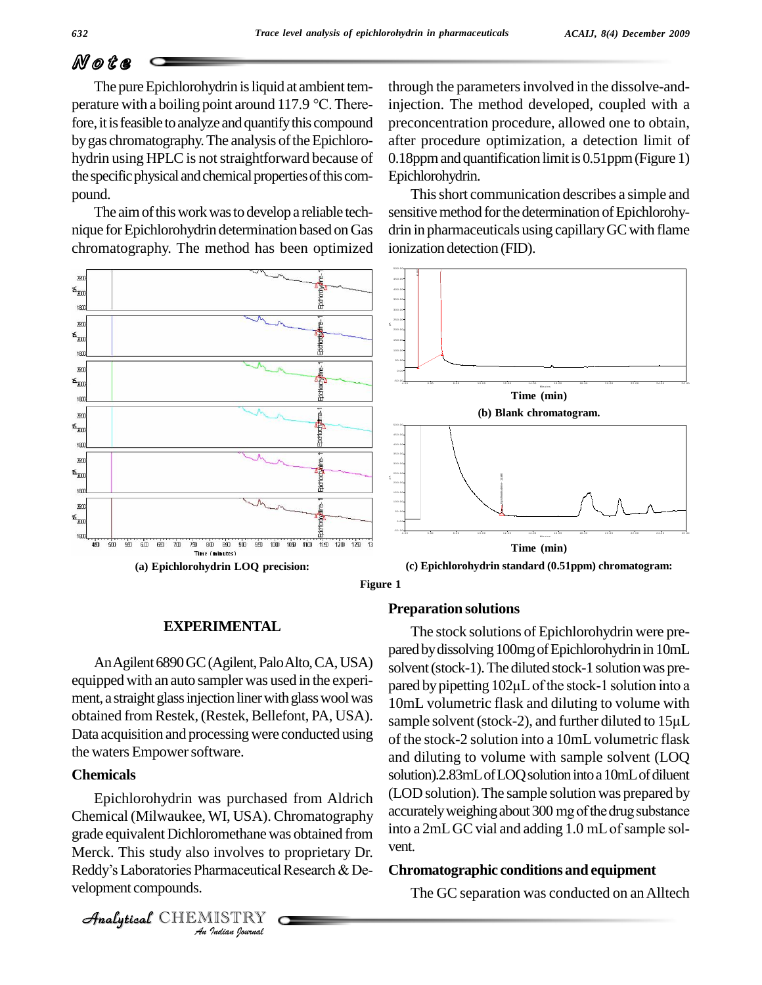# N o t e

The pure Epichlorohydrin is liquid at ambient temperature with a boiling point around 117.9  $\degree$ C. Therefore, it is feasible to analyze and quantify this compound by gas chromatography. The analysis of the Epichlorohydrin using HPLC is not straightforward because of the specific physical and chemical properties of this compound.

The aim of this work was to develop a reliable technique forEpichlorohydrin determination based on Gas chromatography. The method has been optimized



**Figure 1**

### **Preparation solutions**

An Agilent 6890 GC (Agilent, Palo Alto, CA, USA) equipped with an auto sampler was used in the experi ment, a straight glass injection liner with glass wool was obtained from Restek, (Restek, Bellefont, PA, USA). sample solvent (stock-2), and further diluted to 15µL Data acquisition and processing were conducted using the waters Empower software.

**EXPERIMENTAL**

#### **Chemicals**

grade equivalent Dichloromethane was obtained from into a 2mL C<br>Merck. This study also involves to proprietary Dr. vent.<br>Reddy's Laboratories Pharmaceutical Research & De- **Chromatog** *Involves to*<br>*Involves to*<br>*IISTRY*<br>*Indian hournal* Chemical (Milwaukee, WI, USA). Chromatography<br>
orade equivalent Dichloromethane was obtained from into a 2mL GC vial and adding 1.0 mL of sample sol-Merck. This study also involves to proprietary Dr. velopment compounds.

Epichlorohydrin was purchased from Aldrich<br>entical (Milwaukee WI USA) Chromatography accurately weighing about 300 mg of the drug substance The stock solutions of Epichlorohydrin were pre pared by dissolving 100mg of Epichlorohydrin in 10mL<br>solvent (stock-1). The diluted stock-1 solution was pre-<br>pared by pipetting 102µL of the stock-1 solution into a solvent (stock-1). The diluted stock-1 solution was pre-10mL volumetric flask and diluting to volume with pared by pipetting  $102\mu$ L of the stock-1 solution into a of the stock-2 solution into a 10mL volumetric flask and diluting to volume with sample solvent (LOQ solution).2.83mL of LOQ solution into a 10mL of diluent (LOD solution).The sample solution was prepared by solution).2.83mL of LOQ solution into a 10mL of diluent<br>(LOD solution). The sample solution was prepared by<br>accurately weighing about 300 mg of the drug substance (LOD solution). The sample solution was prepared by<br>accurately weighing about 300 mg of the drug substance<br>into a 2mL GC vial and adding 1.0 mL of sample solvent.

#### **Chromatographic conditions and equipment**

The GC separation was conducted on an Alltech

CHEMISTRY

through the parametersinvolved in the dissolve-andinjection. The method developed, coupled with a preconcentration procedure, allowed one to obtain, after procedure optimization, a detection limit of 0.18ppm and quantification limit is 0.51ppm (Figure 1) Epichlorohydrin.

Thisshort communication describes a simple and sensitive method for the determination of Epichlorohydrin in pharmaceuticals using capillary GC with flame ionization detection (FID).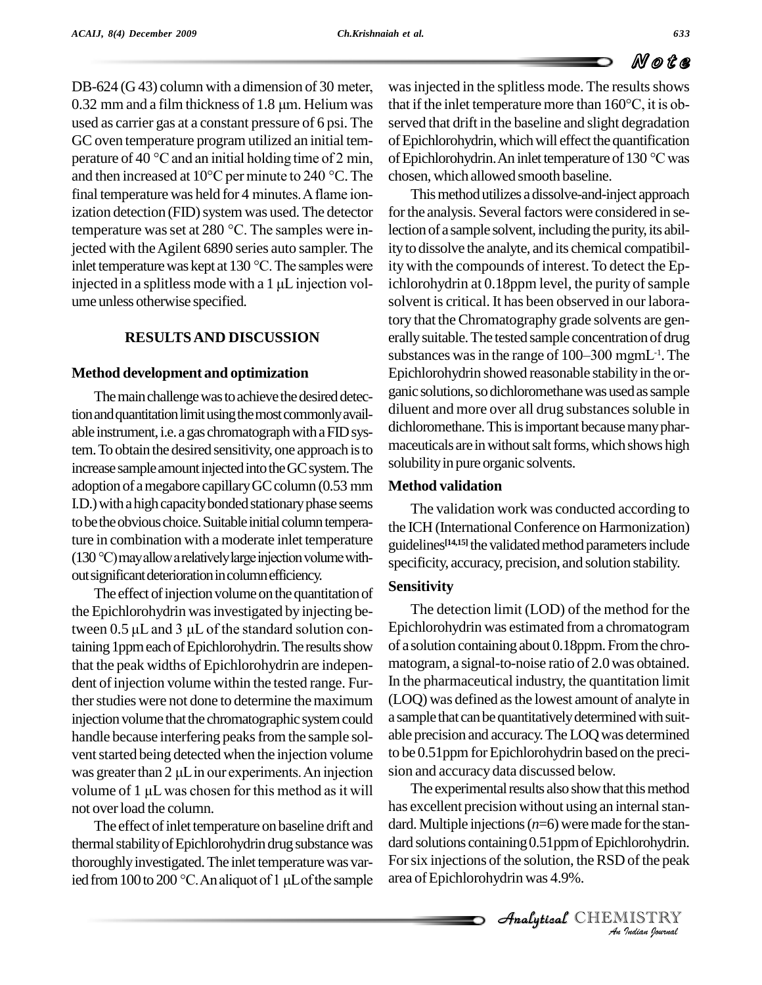DB-624 (G 43) column with <sup>a</sup> dimension of <sup>30</sup> meter,  $0.32$  mm and a film thickness of 1.8  $\mu$ m. Helium was used as carrier gas at a constant pressure of 6 psi. The served GC oven temperature program utilized an initial tem-<br>perature of 40 °C and an initial holding time of 2 min, of Epi GC oven temperature program utilized an initial temperature of 40 °C and an initial holding time of 2 min, or and then increased at  $10^{\circ}$ C per minute to 240 °C. The climal temperature was held for 4 minutes. A flame ionization detection (FID) system was used. The detector final temperature was held for 4 minutes. A flame ion-<br>ization detection (FID) system was used. The detector for<br>temperature was set at 280  $^{\circ}$ C. The samples were injected with the Agilent 6890 series auto sampler. The temperature was set at 280 °C. The samples were in-<br>jected with the Agilent 6890 series auto sampler. The ity to contant temperature was kept at 130 °C. The samples were ity wi jected with the Agilent 6890 series auto sampler. The ity t<br>inlet temperature was kept at 130 °C. The samples were ity v<br>injected in a splitless mode with a 1  $\mu$ L injection volume unless otherwise specified.

#### **RESULTSAND DISCUSSION**

#### **Method development and optimization**

The main challenge was to achieve the desired detection and quantitation limit using the most commonly available instrument, i.e. a gas chromatograph with a FID system. To obtain the desired sensitivity, one approach is to maceuticals a<br>increase sample amount injected into the GC system. The solubility in p<br>adoption of a megabore capillary GC column (0.53 mm **Method val** increase sample amount injected into the GC system. The I.D.) with a high capacity bonded stationary phase seems to be the obvious choice. Suitable initial column temperature in combination with a moderate inlet temperature <sub>ouidel</sub> to be the obvious choice. Suitable initial column temperature<br>ture in combination with a moderate inlet temperature guid<br>(130 °C) may allow a relatively large injection volume without significant deterioration in column efficiency.

The effect of injection volume on the quantitation of the Epichlorohydrin was investigated by injecting be-The effect of injection volume on the quantitation of<br>the Epichlorohydrin was investigated by injecting be-<br>tween 0.5  $\mu$ L and 3  $\mu$ L of the standard solution containing 1ppm each of Epichlorohydrin. The results show that the peak widths of Epichlorohydrin are indepen dent of injection volume within the tested range. Further studies were not done to determine the maximum injection volume that the chromatographic system could handle because interfering peaks from the sample solvent started being detected when the injection volume handle because interfering peaks from the sample sol-<br>vent started being detected when the injection volume to be 0.<br>was greater than 2  $\mu$ L in our experiments. An injection sion an vent started being detected when the injection volume to was greater than 2  $\mu$ L in our experiments. An injection sic volume of 1  $\mu$ L was chosen for this method as it will not overload the column.

The effect of inlet temperature on baseline drift and thermal stability of Epichlorohydrin drug substance was thoroughly investigated. The inlet temperature was varied from 100 to 200 °C. An aliquot of 1 µL of the sample

perature of 40 °C and an initial holding time of 2 min, of Epichlorohydrin. An inlet temperature of 130 °C was and then increased at 10°C per minute to 240 °C. The chosen, which allowed smooth baseline. was injected in the splitless mode. The results shows that if the inlet temperature more than <sup>160</sup>°C, it is ob served that drift in the baseline and slight degradation<br>of Epichlorohydrin, which will effect the quantification<br>of Epichlorohydrin. An inlet temperature of 130 °C was of Epichlorohydrin, which will effect the quantification chosen, which allowed smooth baseline.

> This method utilizes a dissolve-and-inject approach for the analysis. Several factors were considered in selection of a sample solvent, including the purity, its ability to dissolve the analyte, and its chemical compatibility with the compounds of interest. To detect the Epichlorohydrin at 0.18ppm level, the purity of sample solvent is critical. It has been observed in our laboratory that the Chromatography grade solvents are generally suitable. The tested sample concentration of drug<br>substances was in the range of 100–300 mgmL<sup>-1</sup>. The erally suitable. The tested sample concentration of drug  $-1$ . The Epichlorohydrin showed reasonable stability in the organic solutions, so dichloromethane was used as sample diluent and more over all drug substances soluble in dichloromethane. This is important because many pharmaceuticals are in without salt forms, which shows high solubility in pure organic solvents.

#### **Method validation**

The validation work was conducted according to the ICH (International Conference on Harmonization) guidelines<sup>[14,15]</sup> the validated method parameters include specificity, accuracy, precision, and solution stability.

#### **Sensitivity**

The detection limit (LOD) of the method for the Epichlorohydrin was estimated from a chromatogram of a solution containingabout 0.18ppm.Fromthe chro matogram, a signal-to-noise ratio of 2.0was obtained. In the pharmaceutical industry, the quantitation limit (LOQ) was defined asthe lowest amount of analyte in a sample that can be quantitatively determined with suitable precision and accuracy.TheLOQwas determined to be 0.51ppm for Epichlorohydrin based on the precision and accuracy data discussed below.

dard. Multiple injections (*n*=6) were made for the stan-*Ior the stan-*<br>*Ior the peak*<br>*IISTRY*<br>*Indian Iournal*  $\alpha$  and solutions containing 0.51 ppm of Epichlorohydrin. The experimental results also show that this method has excellent precision without using an internal stan-For six injections of the solution, the RSD of the peak area ofEpichlorohydrin was 4.9%.

CHEMISTRY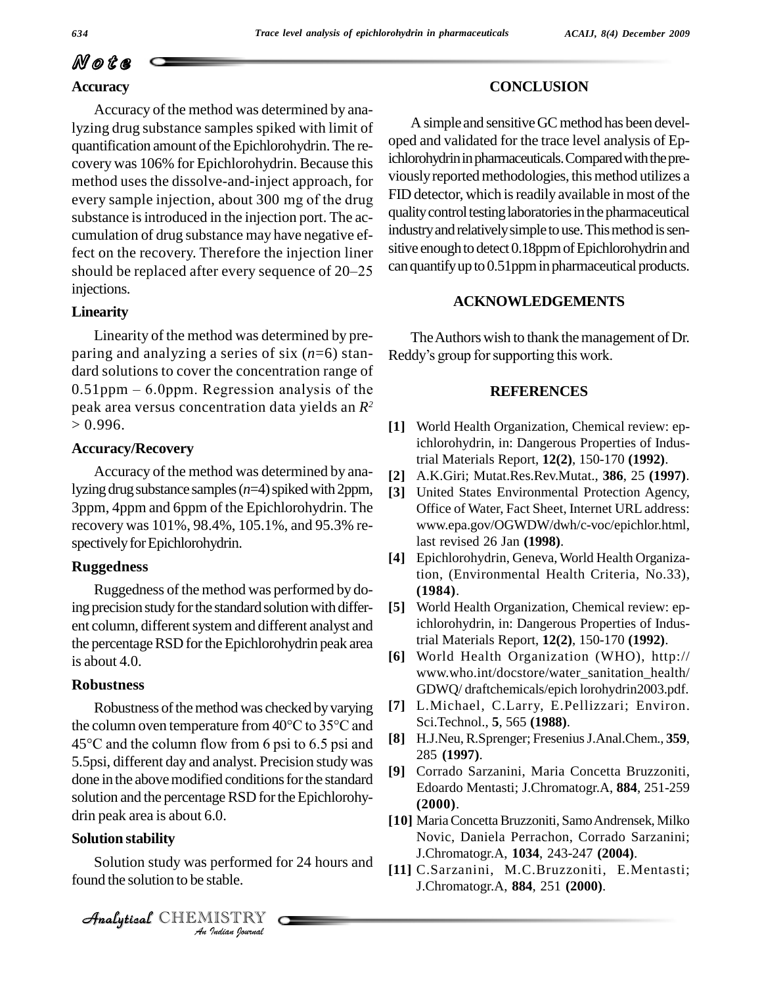## N o t e **Accuracy**

Accuracy of the method was determined by analyzing drug substance samples spiked with limit of quantification amount of the Epichlorohydrin. The recovery was 106% for Epichlorohydrin. Because this covery was 106% for Epichlorohydrin. Because this collection<br>every sample injection, about 300 mg of the drug FID de method uses the dissolve-and-inject approach, for substance is introduced in the injection port. The accumulation of drug substance may have negative effect on the recovery. Therefore the injection liner sinv cumulation of drug substance may have negative ef-<br>fect on the recovery. Therefore the injection liner<br>should be replaced after every sequence of 20–25 can qua injections.

#### **Linearity**

Linearity of the method was determined by pre paring and analyzing a series of six (*n*=6) stan dard solutions to cover the concentration range of paring and analyzing a series of six  $(n=6)$  stan-<br>dard solutions to cover the concentration range of<br>0.51ppm – 6.0ppm. Regression analysis of the peak area versus concentration data yields an *R 2*  $> 0.996$ .

#### **Accuracy/Recovery**

Accuracy of the method was determined by analyzing drug substance samples ( $n=4$ ) spiked with 2ppm, 3ppm, 4ppm and 6ppm of theEpichlorohydrin. The recovery was 101%, 98.4%, 105.1%, and 95.3% re spectively for Epichlorohydrin.

#### **Ruggedness**

Ruggedness of the method was performed by doing precision study for the standard solution with different column, different system and different analyst and the percentage RSD for the Epichlorohydrin peak area is about 4.0.

#### **Robustness**

Robustness of the method was checked by varying **Robustness** G<br>Robustness of the method was checked by varying [7] L.<br>the column oven temperature from  $40^{\circ}$ C to  $35^{\circ}$ C and Sc Robustness of the method was checked by varying [7] L.<br>the column oven temperature from 40°C to 35°C and Sc<br>45°C and the column flow from 6 psi to 6.5 psi and [8] H. 5.5psi, different day and analyst. Precision studywas done in the above modified conditions for the standard solution and the percentage RSD for the Epichlorohydrin peak area is about 6.0.

## Analytical**Solution stability**

 *Indian Journal* Solution study was performed for 24 hours and  $\frac{1}{111}$  C found the solution to be stable.

#### **CONCLUSION**

A simple and sensitive GC method has been developed and validated for the trace level analysis of Epichlorohydrin in pharmaceuticals. Compared with the previously reported methodologies, this method utilizes a FID detector, which is readily available in most of the quality control testing laboratories in the pharmaceutical industry and relatively simple to use. This method is sensitive enough to detect 0.18ppm of Epichlorohydrin and can quantify up to 0.51ppm in pharmaceutical products.

#### **ACKNOWLEDGEMENTS**

The Authors wish to thank the management of Dr. Reddy's group for supporting this work.

#### **REFERENCES**

- **[1]** World Health Organization, Chemical review: epichlorohydrin, in: Dangerous Properties of Industrial Materials Report, **12(2)**, 150-170 **(1992)**.
- **[2]** A.K.Giri; Mutat.Res.Rev.Mutat., **386**, 25 **(1997)**.
- **[3]** United States Environmental Protection Agency, Office of Water, Fact Sheet, Internet URL address: [www.epa.gov/OGWDW/dwh/c-voc/epichlor.html,](http://www.epa.gov/OGWDW/dwh/c-voc/epichlor.html,) last revised 26 Jan **(1998)**.
- **[4]** Epichlorohydrin, Geneva, World Health Organization, (Environmental Health Criteria, No.33), **(1984)**.
- **[5]** World Health Organization, Chemical review: epichlorohydrin, in: Dangerous Properties of Industrial Materials Report, **12(2)**, 150-170 **(1992)**.
- **[6]** World Health Organization (WHO), <http://> [www.who.int/docstore/water\\_sanitation\\_health/](http://www.who.int/docstore/water_sanitation_health/) GDWQ/ draftchemicals/epich lorohydrin2003.pdf.
- **[7]** L.Michael, C.Larry, E.Pellizzari; Environ. Sci.Technol., **5**, 565 **(1988)**.
- **[8]** H.J.Neu,R.Sprenger; FreseniusJ.Anal.Chem., **359**, 285 **(1997)**.
- **[9]** Corrado Sarzanini, Maria Concetta Bruzzoniti, Edoardo Mentasti; J.Chromatogr.A, **884**, 251-259 **(2000)**.
- **[10]** MariaConcettaBruzzoniti, SamoAndrensek, Milko Novic, Daniela Perrachon, Corrado Sarzanini; J.Chromatogr.A, **1034**, 243-247 **(2004)**.
- **[11]** C.Sarzanini, M.C.Bruzzoniti, E.Mentasti; J.Chromatogr.A, **884**, 251 **(2000)**.

 $\mathcal{A}$ nalytical  $\mathbb{CHEMISTRY}$